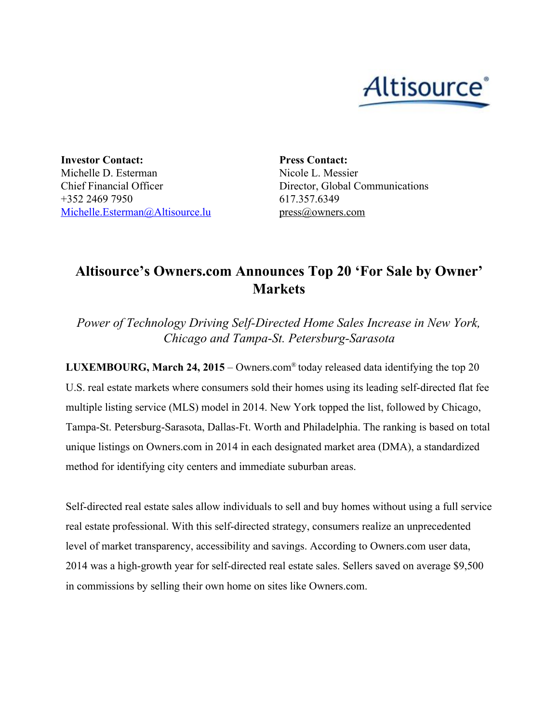

**Investor Contact:** Michelle D. Esterman Chief Financial Officer +352 2469 7950 [Michelle.Esterman@Altisource.lu](mailto:Michelle.Esterman@Altisource.lu)

**Press Contact:** Nicole L. Messier Director, Global Communications 617.357.6349 press@owners.com

## **Altisource's Owners.com Announces Top 20 'For Sale by Owner' Markets**

*Power of Technology Driving SelfDirected Home Sales Increase in New York, Chicago and Tampa-St. Petersburg-Sarasota* 

**LUXEMBOURG, March 24, 2015**– [Owners.com](http://cts.businesswire.com/ct/CT?id=smartlink&url=http%3A%2F%2Fwww.owners.com%2F&esheet=50989948&newsitemid=20141124005554&lan=en-US&anchor=Owners.com&index=1&md5=bf99e6fac5869b00a936d849cff29c09)® today released data identifying the top 20 U.S. real estate markets where consumers sold their homes using its leading self-directed flat fee multiple listing service (MLS) model in 2014. New York topped the list, followed by Chicago, Tampa-St. Petersburg-Sarasota, Dallas-Ft. Worth and Philadelphia. The ranking is based on total unique listings on Owners.com in 2014 in each designated market area (DMA), a standardized method for identifying city centers and immediate suburban areas.

Self-directed real estate sales allow individuals to sell and buy homes without using a full service real estate professional. With this self-directed strategy, consumers realize an unprecedented level of market transparency, accessibility and savings. According to Owners.com user data, 2014 was a high-growth year for self-directed real estate sales. Sellers saved on average \$9,500 in commissions by selling their own home on sites like Owners.com.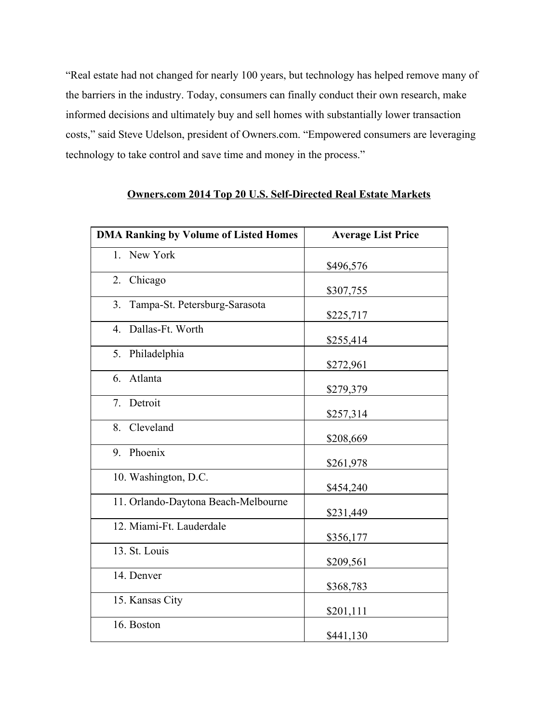"Real estate had not changed for nearly 100 years, but technology has helped remove many of the barriers in the industry. Today, consumers can finally conduct their own research, make informed decisions and ultimately buy and sell homes with substantially lower transaction costs," said Steve Udelson, president of Owners.com. "Empowered consumers are leveraging technology to take control and save time and money in the process."

| <b>DMA Ranking by Volume of Listed Homes</b> | <b>Average List Price</b> |
|----------------------------------------------|---------------------------|
| 1. New York                                  | \$496,576                 |
| 2.<br>Chicago                                | \$307,755                 |
| Tampa-St. Petersburg-Sarasota<br>3.          | \$225,717                 |
| Dallas-Ft. Worth<br>$\overline{4}$ .         | \$255,414                 |
| Philadelphia<br>5.                           | \$272,961                 |
| Atlanta<br>6.                                | \$279,379                 |
| Detroit<br>$7_{\scriptscriptstyle{\sim}}$    | \$257,314                 |
| 8. Cleveland                                 | \$208,669                 |
| 9. Phoenix                                   | \$261,978                 |
| 10. Washington, D.C.                         | \$454,240                 |
| 11. Orlando-Daytona Beach-Melbourne          | \$231,449                 |
| 12. Miami-Ft. Lauderdale                     | \$356,177                 |
| 13. St. Louis                                | \$209,561                 |
| 14. Denver                                   | \$368,783                 |
| 15. Kansas City                              | \$201,111                 |
| 16. Boston                                   | \$441,130                 |

## **Owners.com 2014 Top 20 U.S. SelfDirected Real Estate Markets**